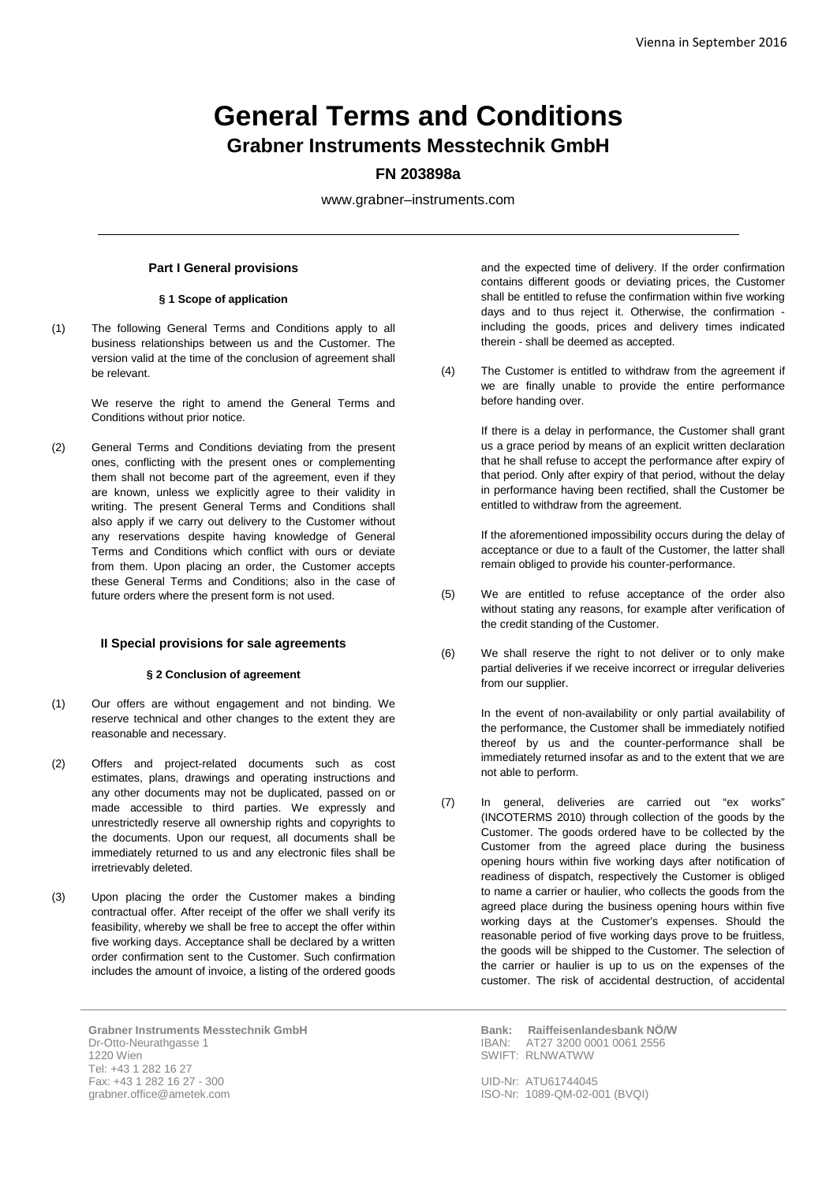# **General Terms and Conditions Grabner Instruments Messtechnik GmbH**

## **FN 203898a**

www.grabner–instruments.com

## **Part I General provisions**

## **§ 1 Scope of application**

(1) The following General Terms and Conditions apply to all business relationships between us and the Customer. The version valid at the time of the conclusion of agreement shall be relevant.

> We reserve the right to amend the General Terms and Conditions without prior notice.

(2) General Terms and Conditions deviating from the present ones, conflicting with the present ones or complementing them shall not become part of the agreement, even if they are known, unless we explicitly agree to their validity in writing. The present General Terms and Conditions shall also apply if we carry out delivery to the Customer without any reservations despite having knowledge of General Terms and Conditions which conflict with ours or deviate from them. Upon placing an order, the Customer accepts these General Terms and Conditions; also in the case of future orders where the present form is not used.

#### **II Special provisions for sale agreements**

#### **§ 2 Conclusion of agreement**

- (1) Our offers are without engagement and not binding. We reserve technical and other changes to the extent they are reasonable and necessary.
- (2) Offers and project-related documents such as cost estimates, plans, drawings and operating instructions and any other documents may not be duplicated, passed on or made accessible to third parties. We expressly and unrestrictedly reserve all ownership rights and copyrights to the documents. Upon our request, all documents shall be immediately returned to us and any electronic files shall be irretrievably deleted.
- (3) Upon placing the order the Customer makes a binding contractual offer. After receipt of the offer we shall verify its feasibility, whereby we shall be free to accept the offer within five working days. Acceptance shall be declared by a written order confirmation sent to the Customer. Such confirmation includes the amount of invoice, a listing of the ordered goods

**Grabner Instruments Messtechnik GmbH** Dr-Otto-Neurathgasse 1 1220 Wien Tel: +43 1 282 16 27 Fax: +43 1 282 16 27 - 300 grabner.office@ametek.com

and the expected time of delivery. If the order confirmation contains different goods or deviating prices, the Customer shall be entitled to refuse the confirmation within five working days and to thus reject it. Otherwise, the confirmation including the goods, prices and delivery times indicated therein - shall be deemed as accepted.

(4) The Customer is entitled to withdraw from the agreement if we are finally unable to provide the entire performance before handing over.

> If there is a delay in performance, the Customer shall grant us a grace period by means of an explicit written declaration that he shall refuse to accept the performance after expiry of that period. Only after expiry of that period, without the delay in performance having been rectified, shall the Customer be entitled to withdraw from the agreement.

> If the aforementioned impossibility occurs during the delay of acceptance or due to a fault of the Customer, the latter shall remain obliged to provide his counter-performance.

- (5) We are entitled to refuse acceptance of the order also without stating any reasons, for example after verification of the credit standing of the Customer.
- (6) We shall reserve the right to not deliver or to only make partial deliveries if we receive incorrect or irregular deliveries from our supplier.

In the event of non-availability or only partial availability of the performance, the Customer shall be immediately notified thereof by us and the counter-performance shall be immediately returned insofar as and to the extent that we are not able to perform.

(7) In general, deliveries are carried out "ex works" (INCOTERMS 2010) through collection of the goods by the Customer. The goods ordered have to be collected by the Customer from the agreed place during the business opening hours within five working days after notification of readiness of dispatch, respectively the Customer is obliged to name a carrier or haulier, who collects the goods from the agreed place during the business opening hours within five working days at the Customer's expenses. Should the reasonable period of five working days prove to be fruitless, the goods will be shipped to the Customer. The selection of the carrier or haulier is up to us on the expenses of the customer. The risk of accidental destruction, of accidental

> **Bank: Raiffeisenlandesbank NÖ/W** IBAN: AT27 3200 0001 0061 2556 SWIFT: RLNWATWW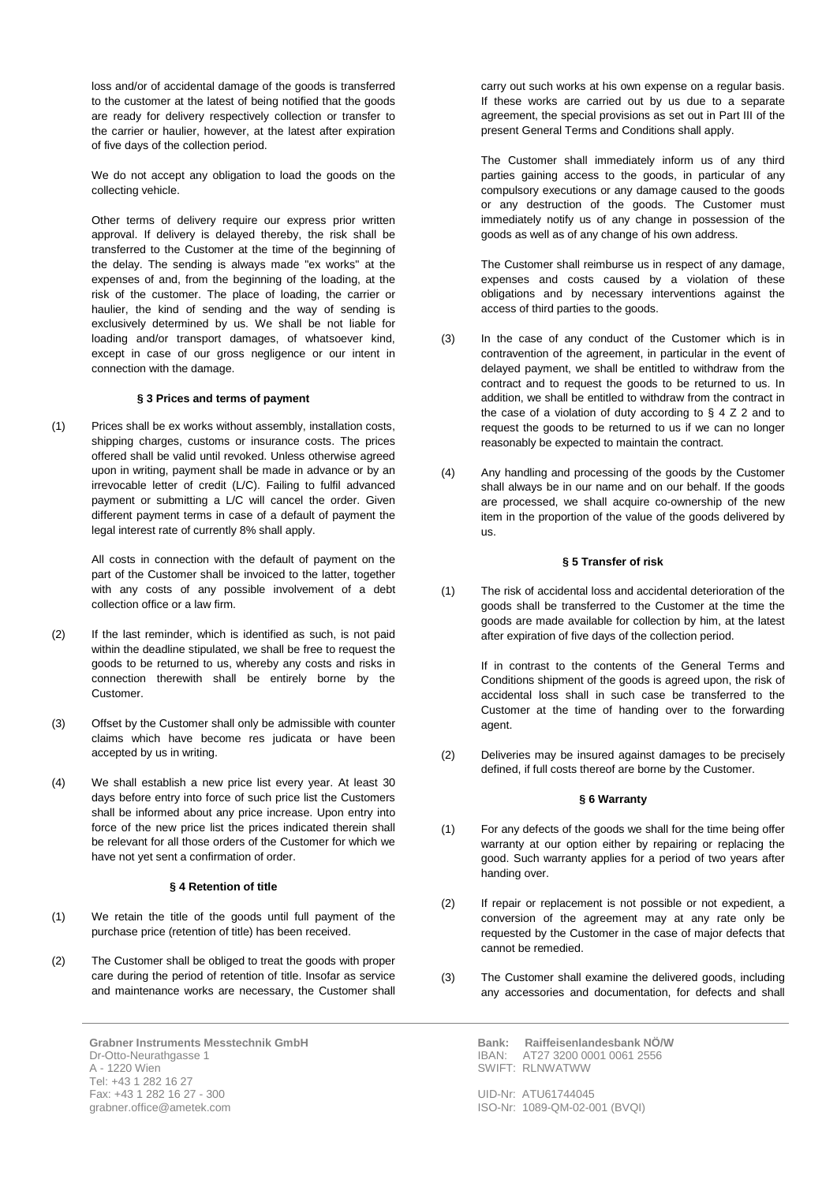loss and/or of accidental damage of the goods is transferred to the customer at the latest of being notified that the goods are ready for delivery respectively collection or transfer to the carrier or haulier, however, at the latest after expiration of five days of the collection period.

We do not accept any obligation to load the goods on the collecting vehicle.

Other terms of delivery require our express prior written approval. If delivery is delayed thereby, the risk shall be transferred to the Customer at the time of the beginning of the delay. The sending is always made "ex works" at the expenses of and, from the beginning of the loading, at the risk of the customer. The place of loading, the carrier or haulier, the kind of sending and the way of sending is exclusively determined by us. We shall be not liable for loading and/or transport damages, of whatsoever kind, except in case of our gross negligence or our intent in connection with the damage.

#### **§ 3 Prices and terms of payment**

(1) Prices shall be ex works without assembly, installation costs, shipping charges, customs or insurance costs. The prices offered shall be valid until revoked. Unless otherwise agreed upon in writing, payment shall be made in advance or by an irrevocable letter of credit (L/C). Failing to fulfil advanced payment or submitting a L/C will cancel the order. Given different payment terms in case of a default of payment the legal interest rate of currently 8% shall apply.

> All costs in connection with the default of payment on the part of the Customer shall be invoiced to the latter, together with any costs of any possible involvement of a debt collection office or a law firm.

- (2) If the last reminder, which is identified as such, is not paid within the deadline stipulated, we shall be free to request the goods to be returned to us, whereby any costs and risks in connection therewith shall be entirely borne by the Customer.
- (3) Offset by the Customer shall only be admissible with counter claims which have become res judicata or have been accepted by us in writing.
- (4) We shall establish a new price list every year. At least 30 days before entry into force of such price list the Customers shall be informed about any price increase. Upon entry into force of the new price list the prices indicated therein shall be relevant for all those orders of the Customer for which we have not yet sent a confirmation of order.

### **§ 4 Retention of title**

- (1) We retain the title of the goods until full payment of the purchase price (retention of title) has been received.
- (2) The Customer shall be obliged to treat the goods with proper care during the period of retention of title. Insofar as service and maintenance works are necessary, the Customer shall

**Grabner Instruments Messtechnik GmbH** Dr-Otto-Neurathgasse 1 A - 1220 Wien Tel: +43 1 282 16 27 Fax: +43 1 282 16 27 - 300 grabner.office@ametek.com

carry out such works at his own expense on a regular basis. If these works are carried out by us due to a separate agreement, the special provisions as set out in Part III of the present General Terms and Conditions shall apply.

The Customer shall immediately inform us of any third parties gaining access to the goods, in particular of any compulsory executions or any damage caused to the goods or any destruction of the goods. The Customer must immediately notify us of any change in possession of the goods as well as of any change of his own address.

The Customer shall reimburse us in respect of any damage, expenses and costs caused by a violation of these obligations and by necessary interventions against the access of third parties to the goods.

- (3) In the case of any conduct of the Customer which is in contravention of the agreement, in particular in the event of delayed payment, we shall be entitled to withdraw from the contract and to request the goods to be returned to us. In addition, we shall be entitled to withdraw from the contract in the case of a violation of duty according to  $\S$  4 Z 2 and to request the goods to be returned to us if we can no longer reasonably be expected to maintain the contract.
- (4) Any handling and processing of the goods by the Customer shall always be in our name and on our behalf. If the goods are processed, we shall acquire co-ownership of the new item in the proportion of the value of the goods delivered by us.

#### **§ 5 Transfer of risk**

(1) The risk of accidental loss and accidental deterioration of the goods shall be transferred to the Customer at the time the goods are made available for collection by him, at the latest after expiration of five days of the collection period.

If in contrast to the contents of the General Terms and Conditions shipment of the goods is agreed upon, the risk of accidental loss shall in such case be transferred to the Customer at the time of handing over to the forwarding agent.

(2) Deliveries may be insured against damages to be precisely defined, if full costs thereof are borne by the Customer.

#### **§ 6 Warranty**

- (1) For any defects of the goods we shall for the time being offer warranty at our option either by repairing or replacing the good. Such warranty applies for a period of two years after handing over.
- (2) If repair or replacement is not possible or not expedient, a conversion of the agreement may at any rate only be requested by the Customer in the case of major defects that cannot be remedied.
- (3) The Customer shall examine the delivered goods, including any accessories and documentation, for defects and shall

**Bank: Raiffeisenlandesbank NÖ/W**<br>IBAN: AT27 3200 0001 0061 2556 IBAN: AT27 3200 0001 0061 2556 SWIFT: RLNWATWW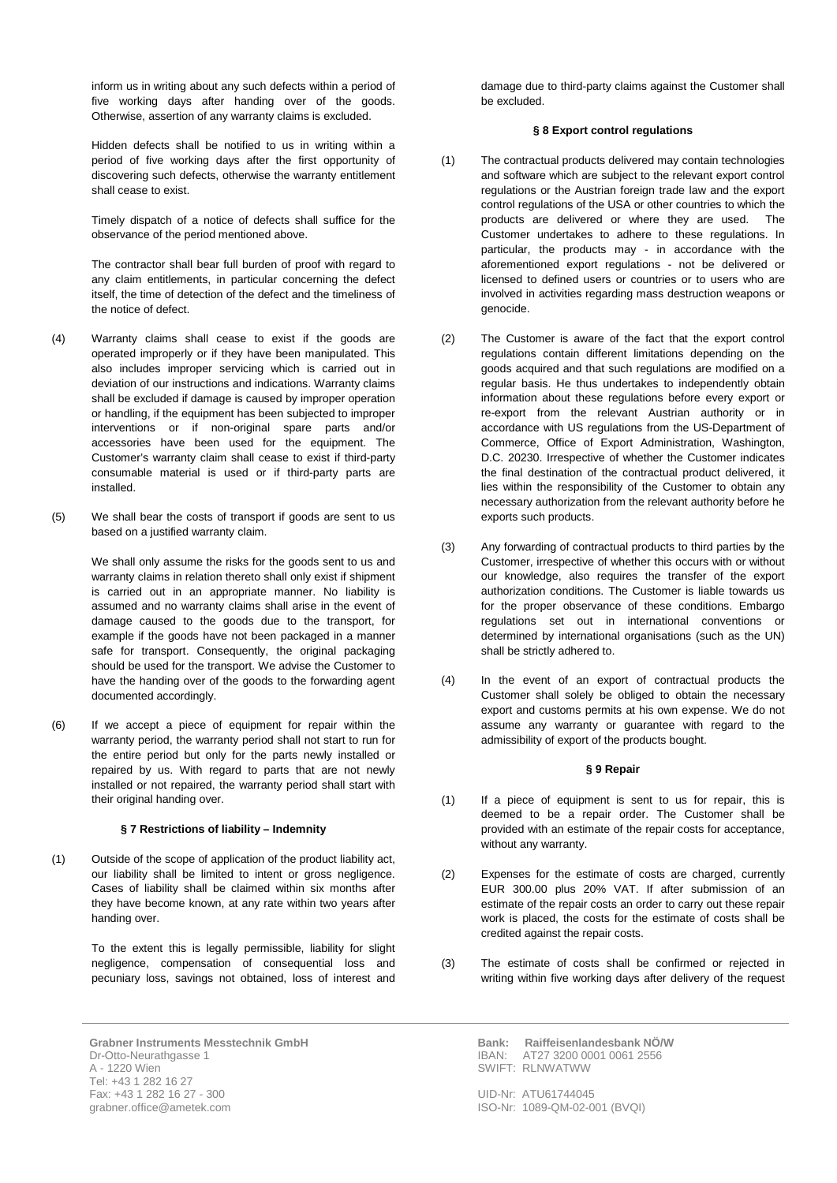inform us in writing about any such defects within a period of five working days after handing over of the goods. Otherwise, assertion of any warranty claims is excluded.

Hidden defects shall be notified to us in writing within a period of five working days after the first opportunity of discovering such defects, otherwise the warranty entitlement shall cease to exist.

Timely dispatch of a notice of defects shall suffice for the observance of the period mentioned above.

The contractor shall bear full burden of proof with regard to any claim entitlements, in particular concerning the defect itself, the time of detection of the defect and the timeliness of the notice of defect.

- (4) Warranty claims shall cease to exist if the goods are operated improperly or if they have been manipulated. This also includes improper servicing which is carried out in deviation of our instructions and indications. Warranty claims shall be excluded if damage is caused by improper operation or handling, if the equipment has been subjected to improper interventions or if non-original spare parts and/or accessories have been used for the equipment. The Customer's warranty claim shall cease to exist if third-party consumable material is used or if third-party parts are installed.
- (5) We shall bear the costs of transport if goods are sent to us based on a justified warranty claim.

We shall only assume the risks for the goods sent to us and warranty claims in relation thereto shall only exist if shipment is carried out in an appropriate manner. No liability is assumed and no warranty claims shall arise in the event of damage caused to the goods due to the transport, for example if the goods have not been packaged in a manner safe for transport. Consequently, the original packaging should be used for the transport. We advise the Customer to have the handing over of the goods to the forwarding agent documented accordingly.

(6) If we accept a piece of equipment for repair within the warranty period, the warranty period shall not start to run for the entire period but only for the parts newly installed or repaired by us. With regard to parts that are not newly installed or not repaired, the warranty period shall start with their original handing over.

#### **§ 7 Restrictions of liability – Indemnity**

(1) Outside of the scope of application of the product liability act, our liability shall be limited to intent or gross negligence. Cases of liability shall be claimed within six months after they have become known, at any rate within two years after handing over.

> To the extent this is legally permissible, liability for slight negligence, compensation of consequential loss and pecuniary loss, savings not obtained, loss of interest and

damage due to third-party claims against the Customer shall be excluded.

#### **§ 8 Export control regulations**

- (1) The contractual products delivered may contain technologies and software which are subject to the relevant export control regulations or the Austrian foreign trade law and the export control regulations of the USA or other countries to which the products are delivered or where they are used. The Customer undertakes to adhere to these regulations. In particular, the products may - in accordance with the aforementioned export regulations - not be delivered or licensed to defined users or countries or to users who are involved in activities regarding mass destruction weapons or genocide.
- (2) The Customer is aware of the fact that the export control regulations contain different limitations depending on the goods acquired and that such regulations are modified on a regular basis. He thus undertakes to independently obtain information about these regulations before every export or re-export from the relevant Austrian authority or in accordance with US regulations from the US-Department of Commerce, Office of Export Administration, Washington, D.C. 20230. Irrespective of whether the Customer indicates the final destination of the contractual product delivered, it lies within the responsibility of the Customer to obtain any necessary authorization from the relevant authority before he exports such products.
- (3) Any forwarding of contractual products to third parties by the Customer, irrespective of whether this occurs with or without our knowledge, also requires the transfer of the export authorization conditions. The Customer is liable towards us for the proper observance of these conditions. Embargo regulations set out in international conventions or determined by international organisations (such as the UN) shall be strictly adhered to.
- (4) In the event of an export of contractual products the Customer shall solely be obliged to obtain the necessary export and customs permits at his own expense. We do not assume any warranty or guarantee with regard to the admissibility of export of the products bought.

#### **§ 9 Repair**

- (1) If a piece of equipment is sent to us for repair, this is deemed to be a repair order. The Customer shall be provided with an estimate of the repair costs for acceptance, without any warranty.
- (2) Expenses for the estimate of costs are charged, currently EUR 300.00 plus 20% VAT. If after submission of an estimate of the repair costs an order to carry out these repair work is placed, the costs for the estimate of costs shall be credited against the repair costs.
- (3) The estimate of costs shall be confirmed or rejected in writing within five working days after delivery of the request

**Grabner Instruments Messtechnik GmbH** Dr-Otto-Neurathgasse 1 A - 1220 Wien Tel: +43 1 282 16 27 Fax: +43 1 282 16 27 - 300 grabner.office@ametek.com

**Bank: Raiffeisenlandesbank NÖ/W**<br>IBAN: AT27 3200 0001 0061 2556 IBAN: AT27 3200 0001 0061 2556 SWIFT: RLNWATWW